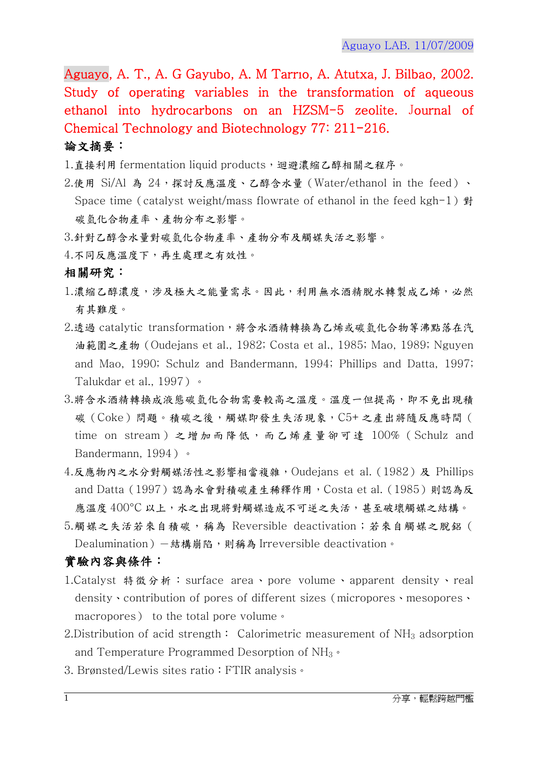Aguayo, A. T., A. G Gayubo, A. M Tarrıo, A. Atutxa, J. Bilbao, 2002. Study of operating variables in the transformation of aqueous ethanol into hydrocarbons on an HZSM-5 zeolite. Journal of Chemical Technology and Biotechnology 77: 211-216.

## 論文摘要:

1.直接利用 fermentation liquid products,迴避濃縮乙醇相關之程序。

- 2.使用 Si/Al 為 24,探討反應溫度、乙醇含水量 (Water/ethanol in the feed)、 Space time (catalyst weight/mass flowrate of ethanol in the feed kgh-1)  $\frac{1}{2}$ 碳氫化合物產率、產物分布之影響。
- 3.針對乙醇含水量對碳氫化合物產率、產物分布及觸媒失活之影響。
- 4.不同反應溫度下,再生處理之有效性。

## 相關研究:

- 1.濃縮乙醇濃度,涉及極大之能量需求。因此,利用無水酒精脫水轉製成乙烯,必然 有其難度。
- 2.透過 catalytic transformation,將含水酒精轉換為乙烯或碳氫化合物等沸點落在汽 油範圍之產物(Oudejans et al., 1982; Costa et al., 1985; Mao, 1989; Nguyen and Mao, 1990; Schulz and Bandermann, 1994; Phillips and Datta, 1997; Talukdar et al., 1997)。
- 3.將含水酒精轉換成液態碳氫化合物需要較高之溫度。溫度一但提高,即不免出現積 碳(Coke)問題。積碳之後,觸媒即發生失活現象,C5+之產出將隨反應時間( time on stream )之增加而降低,而乙烯產量卻可達 100% ( Schulz and Bandermann, 1994)。
- 4.反應物內之水分對觸媒活性之影響相當複雜,Oudejans et al.(1982)及 Phillips and Datta(1997)認為水會對積碳產生稀釋作用,Costa et al.(1985)則認為反 應溫度 400°C 以上,水之出現將對觸媒造成不可逆之失活,甚至破壞觸媒之結構。
- 5.觸媒之失活若來自積碳,稱為 Reversible deactivation;若來自觸媒之脫鋁( Dealumination) 一結構崩陷,則稱為 Irreversible deactivation。

## 實驗內容與條件:

- 1.Catalyst 特徵分析: surface area、pore volume、apparent density、real density、contribution of pores of different sizes(micropores、mesopores、 macropores) to the total pore volume。
- 2. Distribution of acid strength: Calorimetric measurement of  $NH<sub>3</sub>$  adsorption and Temperature Programmed Desorption of  $NH_3 \circ$
- 3. Brønsted/Lewis sites ratio: FTIR analysis ·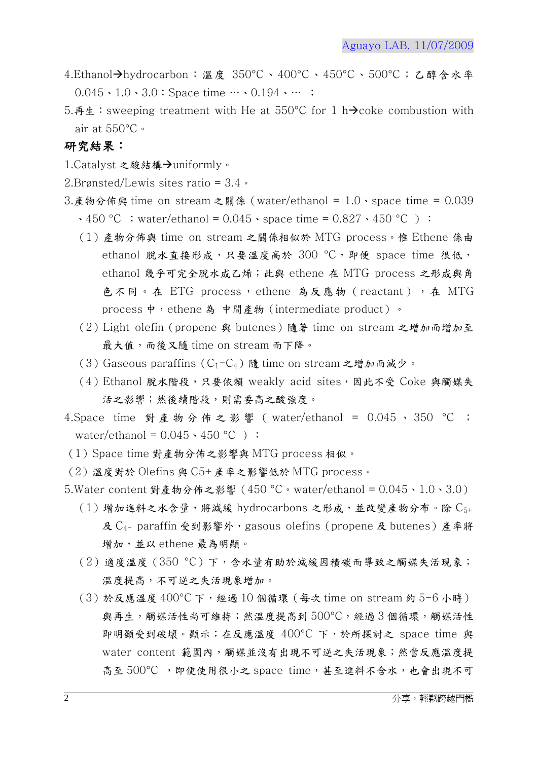- 4.Ethanol→hydrocarbon: 溫度 350°C、400°C、450°C、500°C;乙醇含水率  $0.045 \cdot 1.0 \cdot 3.0$ ; Space time  $\cdots$  0.194  $\cdots$ ;
- 5.再生:sweeping treatment with He at 550°C for 1 h $\rightarrow$ coke combustion with air at 550°C。

## 研究結果:

- 1. Catalyst 之酸結構→uniformly。
- 2.Brønsted/Lewis sites ratio = 3.4。
- 3.產物分佈與 time on stream 之關係(water/ethanol = 1.0、space time = 0.039  $\cdot$  450 °C ; water/ethanol = 0.045  $\cdot$  space time = 0.827  $\cdot$  450 °C ):
	- (1)產物分佈與 time on stream 之關係相似於 MTG process。惟 Ethene 係由 ethanol 脱水直接形成,只要溫度高於 300 °C, 即便 space time 很低, ethanol 幾乎可完全脫水成乙烯;此與 ethene 在 MTG process 之形成與角 色不同。在 ETG process,ethene 為反應物 (reactant), 在 MTG process 中, ethene 為 中間產物 (intermediate product)。
	- (2)Light olefin(propene 與 butenes)隨著 time on stream 之增加而增加至 最大值,而後又隨 time on stream 而下降。
	- (3) Gaseous paraffins ( $C_1-C_4$ ) 隨 time on stream 之增加而減少。
	- (4) Ethanol 脫水階段,只要依賴 weakly acid sites,因此不受 Coke 與觸媒失 活之影響;然後續階段,則需要高之酸強度。
- 4.Space time 對產物分佈之影響 (water/ethanol = 0.045、350 °C ; water/ethanol =  $0.045 \cdot 450$  °C ):
- (1)Space time 對產物分佈之影響與 MTG process 相似。
- (2)溫度對於 Olefins 與 C5+產率之影響低於 MTG process。
- 5.Water content 對產物分佈之影響(450 °C。water/ethanol = 0.045、1.0、3.0)
	- $(1)$ 增加進料之水含量,將減緩 hydrocarbons 之形成,並改變產物分布。除  $C_{5+}$ 及 C<sub>4-</sub> paraffin 受到影響外,gasous olefins (propene 及 butenes)產率將 增加,並以 ethene 最為明顯。
	- (2)適度溫度(350 °C)下,含水量有助於減緩因積碳而導致之觸媒失活現象; 溫度提高,不可逆之失活現象增加。
	- (3)於反應溫度 400°C 下,經過 10 個循環(每次 time on stream 約 5-6 小時) 與再生,觸媒活性尚可維持;然溫度提高到 500°C,經過 3 個循環, 觸媒活性 即明顯受到破壞。顯示;在反應溫度 400°C 下,於所探討之 space time 與 water content 範圍內,觸媒並沒有出現不可逆之失活現象;然當反應溫度提 高至 500°C ,即便使用很小之 space time,甚至進料不含水,也會出現不可